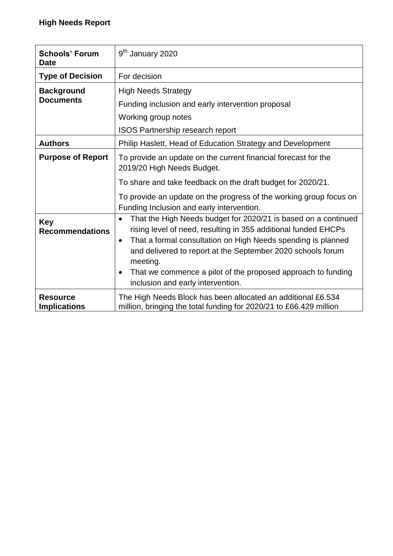| <b>Schools' Forum</b><br><b>Date</b>   | 9 <sup>th</sup> January 2020                                                                                                                                                                                                                                                                                                                                                                                            |
|----------------------------------------|-------------------------------------------------------------------------------------------------------------------------------------------------------------------------------------------------------------------------------------------------------------------------------------------------------------------------------------------------------------------------------------------------------------------------|
| <b>Type of Decision</b>                | For decision                                                                                                                                                                                                                                                                                                                                                                                                            |
| <b>Background</b><br><b>Documents</b>  | <b>High Needs Strategy</b><br>Funding inclusion and early intervention proposal<br>Working group notes<br><b>ISOS Partnership research report</b>                                                                                                                                                                                                                                                                       |
| <b>Authors</b>                         | Philip Haslett, Head of Education Strategy and Development                                                                                                                                                                                                                                                                                                                                                              |
| <b>Purpose of Report</b>               | To provide an update on the current financial forecast for the<br>2019/20 High Needs Budget.<br>To share and take feedback on the draft budget for 2020/21.<br>To provide an update on the progress of the working group focus on<br>Funding Inclusion and early intervention.                                                                                                                                          |
| <b>Key</b><br><b>Recommendations</b>   | That the High Needs budget for 2020/21 is based on a continued<br>$\bullet$<br>rising level of need, resulting in 355 additional funded EHCPs<br>That a formal consultation on High Needs spending is planned<br>$\bullet$<br>and delivered to report at the September 2020 schools forum<br>meeting.<br>That we commence a pilot of the proposed approach to funding<br>$\bullet$<br>inclusion and early intervention. |
| <b>Resource</b><br><b>Implications</b> | The High Needs Block has been allocated an additional £6.534<br>million, bringing the total funding for 2020/21 to £66.429 million                                                                                                                                                                                                                                                                                      |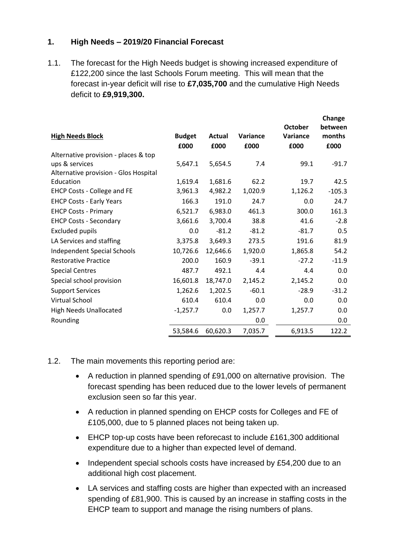## **1. High Needs – 2019/20 Financial Forecast**

1.1. The forecast for the High Needs budget is showing increased expenditure of £122,200 since the last Schools Forum meeting. This will mean that the forecast in-year deficit will rise to **£7,035,700** and the cumulative High Needs deficit to **£9,919,300.**

| <b>High Needs Block</b>               | <b>Budget</b><br>£000 | Actual<br>£000 | Variance<br>£000 | <b>October</b><br>Variance<br>£000 | between<br>months<br>£000 |
|---------------------------------------|-----------------------|----------------|------------------|------------------------------------|---------------------------|
| Alternative provision - places & top  |                       |                |                  |                                    |                           |
| ups & services                        | 5,647.1               | 5,654.5        | 7.4              | 99.1                               | $-91.7$                   |
| Alternative provision - Glos Hospital |                       |                |                  |                                    |                           |
| Education                             | 1,619.4               | 1,681.6        | 62.2             | 19.7                               | 42.5                      |
| <b>EHCP Costs - College and FE</b>    | 3,961.3               | 4,982.2        | 1,020.9          | 1,126.2                            | $-105.3$                  |
| <b>EHCP Costs - Early Years</b>       | 166.3                 | 191.0          | 24.7             | 0.0                                | 24.7                      |
| <b>EHCP Costs - Primary</b>           | 6,521.7               | 6,983.0        | 461.3            | 300.0                              | 161.3                     |
| <b>EHCP Costs - Secondary</b>         | 3,661.6               | 3,700.4        | 38.8             | 41.6                               | $-2.8$                    |
| <b>Excluded pupils</b>                | 0.0                   | $-81.2$        | $-81.2$          | $-81.7$                            | 0.5                       |
| LA Services and staffing              | 3,375.8               | 3,649.3        | 273.5            | 191.6                              | 81.9                      |
| <b>Independent Special Schools</b>    | 10,726.6              | 12,646.6       | 1,920.0          | 1,865.8                            | 54.2                      |
| <b>Restorative Practice</b>           | 200.0                 | 160.9          | $-39.1$          | $-27.2$                            | $-11.9$                   |
| <b>Special Centres</b>                | 487.7                 | 492.1          | 4.4              | 4.4                                | 0.0                       |
| Special school provision              | 16,601.8              | 18,747.0       | 2,145.2          | 2,145.2                            | 0.0                       |
| <b>Support Services</b>               | 1,262.6               | 1,202.5        | $-60.1$          | $-28.9$                            | $-31.2$                   |
| Virtual School                        | 610.4                 | 610.4          | 0.0              | 0.0                                | 0.0                       |
| <b>High Needs Unallocated</b>         | $-1,257.7$            | 0.0            | 1,257.7          | 1,257.7                            | 0.0                       |
| Rounding                              |                       |                | 0.0              |                                    | 0.0                       |
|                                       | 53,584.6              | 60,620.3       | 7,035.7          | 6,913.5                            | 122.2                     |

## 1.2. The main movements this reporting period are:

- A reduction in planned spending of £91,000 on alternative provision. The forecast spending has been reduced due to the lower levels of permanent exclusion seen so far this year.
- A reduction in planned spending on EHCP costs for Colleges and FE of £105,000, due to 5 planned places not being taken up.
- EHCP top-up costs have been reforecast to include £161,300 additional expenditure due to a higher than expected level of demand.
- Independent special schools costs have increased by £54,200 due to an additional high cost placement.
- LA services and staffing costs are higher than expected with an increased spending of £81,900. This is caused by an increase in staffing costs in the EHCP team to support and manage the rising numbers of plans.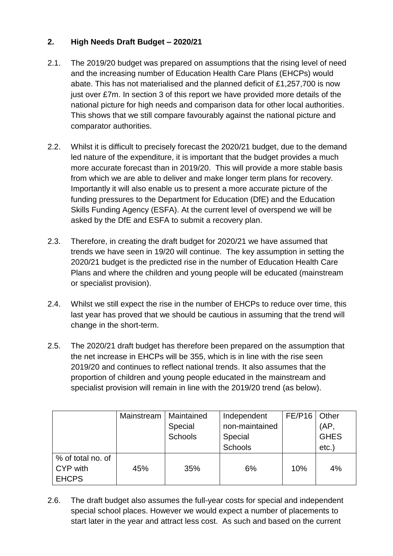# **2. High Needs Draft Budget – 2020/21**

- 2.1. The 2019/20 budget was prepared on assumptions that the rising level of need and the increasing number of Education Health Care Plans (EHCPs) would abate. This has not materialised and the planned deficit of £1,257,700 is now just over £7m. In section 3 of this report we have provided more details of the national picture for high needs and comparison data for other local authorities. This shows that we still compare favourably against the national picture and comparator authorities.
- 2.2. Whilst it is difficult to precisely forecast the 2020/21 budget, due to the demand led nature of the expenditure, it is important that the budget provides a much more accurate forecast than in 2019/20. This will provide a more stable basis from which we are able to deliver and make longer term plans for recovery. Importantly it will also enable us to present a more accurate picture of the funding pressures to the Department for Education (DfE) and the Education Skills Funding Agency (ESFA). At the current level of overspend we will be asked by the DfE and ESFA to submit a recovery plan.
- 2.3. Therefore, in creating the draft budget for 2020/21 we have assumed that trends we have seen in 19/20 will continue. The key assumption in setting the 2020/21 budget is the predicted rise in the number of Education Health Care Plans and where the children and young people will be educated (mainstream or specialist provision).
- 2.4. Whilst we still expect the rise in the number of EHCPs to reduce over time, this last year has proved that we should be cautious in assuming that the trend will change in the short-term.
- 2.5. The 2020/21 draft budget has therefore been prepared on the assumption that the net increase in EHCPs will be 355, which is in line with the rise seen 2019/20 and continues to reflect national trends. It also assumes that the proportion of children and young people educated in the mainstream and specialist provision will remain in line with the 2019/20 trend (as below).

|                   | Mainstream | Maintained     | Independent    | <b>FE/P16</b> | Other       |
|-------------------|------------|----------------|----------------|---------------|-------------|
|                   |            | Special        | non-maintained |               | (AP,        |
|                   |            | <b>Schools</b> | Special        |               | <b>GHES</b> |
|                   |            |                | <b>Schools</b> |               | $etc.$ )    |
| % of total no. of |            |                |                |               |             |
| CYP with          | 45%        | 35%            | 6%             | 10%           | 4%          |
| <b>EHCPS</b>      |            |                |                |               |             |

2.6. The draft budget also assumes the full-year costs for special and independent special school places. However we would expect a number of placements to start later in the year and attract less cost. As such and based on the current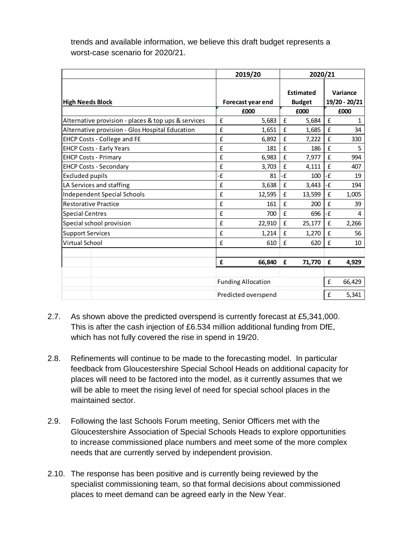trends and available information, we believe this draft budget represents a worst-case scenario for 2020/21.

|                                                     |                     | 2019/20                   | 2020/21                           |        |       |                           |
|-----------------------------------------------------|---------------------|---------------------------|-----------------------------------|--------|-------|---------------------------|
| <b>High Needs Block</b>                             |                     | Forecast year end         | <b>Estimated</b><br><b>Budget</b> |        |       | Variance<br>19/20 - 20/21 |
|                                                     |                     | £000                      |                                   | £000   |       | £000                      |
| Alternative provision - places & top ups & services | £                   | 5,683                     | £                                 | 5,684  | £     | 1                         |
| Alternative provision - Glos Hospital Education     | £                   | 1,651                     | £                                 | 1,685  | £     | 34                        |
| <b>EHCP Costs - College and FE</b>                  | £                   | 6,892                     | £                                 | 7,222  | £     | 330                       |
| <b>EHCP Costs - Early Years</b>                     | £                   | 181                       | £                                 | 186    | £     | 5                         |
| <b>EHCP Costs - Primary</b>                         | £                   | 6,983                     | £                                 | 7,977  | £     | 994                       |
| <b>EHCP Costs - Secondary</b>                       | £                   | 3,703                     | £                                 | 4,111  | £     | 407                       |
| <b>Excluded pupils</b>                              | ٠£                  | 81                        | -£                                | 100    | $-E$  | 19                        |
| LA Services and staffing                            | £                   | 3,638                     | £                                 | 3,443  | -£    | 194                       |
| <b>Independent Special Schools</b>                  | £                   | 12,595                    | £                                 | 13,599 | £     | 1,005                     |
| <b>Restorative Practice</b>                         | £                   | 161                       | £                                 | 200    | £     | 39                        |
| <b>Special Centres</b>                              | £                   | 700                       | £                                 | 696    | $-E$  | 4                         |
| Special school provision                            | £                   | 22,910                    | £                                 | 25,177 | £     | 2,266                     |
| <b>Support Services</b>                             | £                   | 1,214                     | £                                 | 1,270  | £     | 56                        |
| Virtual School                                      | £                   | 610                       | £                                 | 620    | £     | 10                        |
|                                                     |                     |                           |                                   |        |       |                           |
|                                                     | £                   | 66,840                    | £                                 | 71,770 | £     | 4,929                     |
|                                                     |                     |                           |                                   |        |       |                           |
|                                                     |                     | <b>Funding Allocation</b> |                                   |        | £     | 66,429                    |
|                                                     | Predicted overspend |                           |                                   | £      | 5,341 |                           |

- 2.7. As shown above the predicted overspend is currently forecast at £5,341,000. This is after the cash injection of £6.534 million additional funding from DfE, which has not fully covered the rise in spend in 19/20.
- 2.8. Refinements will continue to be made to the forecasting model. In particular feedback from Gloucestershire Special School Heads on additional capacity for places will need to be factored into the model, as it currently assumes that we will be able to meet the rising level of need for special school places in the maintained sector.
- 2.9. Following the last Schools Forum meeting, Senior Officers met with the Gloucestershire Association of Special Schools Heads to explore opportunities to increase commissioned place numbers and meet some of the more complex needs that are currently served by independent provision.
- 2.10. The response has been positive and is currently being reviewed by the specialist commissioning team, so that formal decisions about commissioned places to meet demand can be agreed early in the New Year.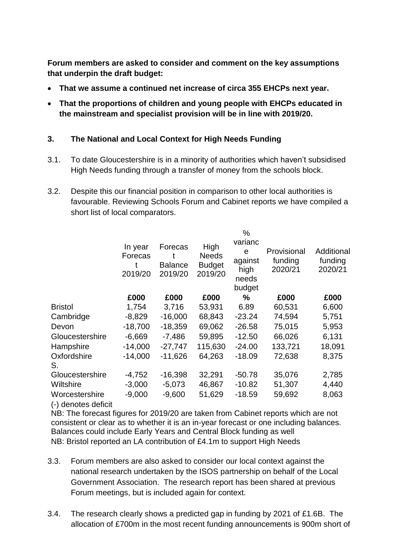**Forum members are asked to consider and comment on the key assumptions that underpin the draft budget:** 

- **That we assume a continued net increase of circa 355 EHCPs next year.**
- **That the proportions of children and young people with EHCPs educated in the mainstream and specialist provision will be in line with 2019/20.**

## **3. The National and Local Context for High Needs Funding**

- 3.1. To date Gloucestershire is in a minority of authorities which haven't subsidised High Needs funding through a transfer of money from the schools block.
- 3.2. Despite this our financial position in comparison to other local authorities is favourable. Reviewing Schools Forum and Cabinet reports we have compiled a short list of local comparators.

|                                       | In year<br>Forecas<br>2019/20 | Forecas<br><b>Balance</b><br>2019/20 | High<br><b>Needs</b><br><b>Budget</b><br>2019/20 | %<br>varianc<br>e<br>against<br>high<br>needs<br>budget | Provisional<br>funding<br>2020/21 | Additional<br>funding<br>2020/21 |
|---------------------------------------|-------------------------------|--------------------------------------|--------------------------------------------------|---------------------------------------------------------|-----------------------------------|----------------------------------|
|                                       | £000                          | £000                                 | £000                                             | $\%$                                                    | £000                              | £000                             |
| <b>Bristol</b>                        | 1,754                         | 3,716                                | 53,931                                           | 6.89                                                    | 60,531                            | 6,600                            |
| Cambridge                             | $-8,829$                      | $-16,000$                            | 68,843                                           | $-23.24$                                                | 74,594                            | 5,751                            |
| Devon                                 | $-18,700$                     | $-18,359$                            | 69,062                                           | $-26.58$                                                | 75,015                            | 5,953                            |
| Gloucestershire                       | $-6,669$                      | $-7,486$                             | 59,895                                           | $-12.50$                                                | 66,026                            | 6,131                            |
| Hampshire                             | $-14,000$                     | $-27,747$                            | 115,630                                          | $-24.00$                                                | 133,721                           | 18,091                           |
| Oxfordshire<br>S.                     | $-14,000$                     | $-11,626$                            | 64,263                                           | $-18.09$                                                | 72,638                            | 8,375                            |
| Gloucestershire                       | $-4,752$                      | $-16,398$                            | 32,291                                           | $-50.78$                                                | 35,076                            | 2,785                            |
| Wiltshire                             | $-3,000$                      | $-5,073$                             | 46,867                                           | $-10.82$                                                | 51,307                            | 4,440                            |
| Worcestershire<br>(-) denotes deficit | $-9,000$                      | $-9,600$                             | 51,629                                           | $-18.59$                                                | 59,692                            | 8,063                            |

NB: The forecast figures for 2019/20 are taken from Cabinet reports which are not consistent or clear as to whether it is an in-year forecast or one including balances. Balances could include Early Years and Central Block funding as well NB: Bristol reported an LA contribution of £4.1m to support High Needs

- 3.3. Forum members are also asked to consider our local context against the national research undertaken by the ISOS partnership on behalf of the Local Government Association. The research report has been shared at previous Forum meetings, but is included again for context.
- 3.4. The research clearly shows a predicted gap in funding by 2021 of £1.6B. The allocation of £700m in the most recent funding announcements is 900m short of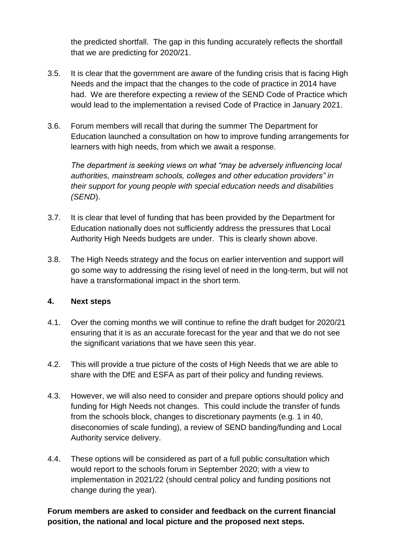the predicted shortfall. The gap in this funding accurately reflects the shortfall that we are predicting for 2020/21.

- 3.5. It is clear that the government are aware of the funding crisis that is facing High Needs and the impact that the changes to the code of practice in 2014 have had. We are therefore expecting a review of the SEND Code of Practice which would lead to the implementation a revised Code of Practice in January 2021.
- 3.6. Forum members will recall that during the summer The Department for Education launched a consultation on how to improve funding arrangements for learners with high needs, from which we await a response.

*The department is seeking views on what "may be adversely influencing local authorities, mainstream schools, colleges and other education providers" in their support for young people with special education needs and disabilities (SEND*).

- 3.7. It is clear that level of funding that has been provided by the Department for Education nationally does not sufficiently address the pressures that Local Authority High Needs budgets are under. This is clearly shown above.
- 3.8. The High Needs strategy and the focus on earlier intervention and support will go some way to addressing the rising level of need in the long-term, but will not have a transformational impact in the short term.

## **4. Next steps**

- 4.1. Over the coming months we will continue to refine the draft budget for 2020/21 ensuring that it is as an accurate forecast for the year and that we do not see the significant variations that we have seen this year.
- 4.2. This will provide a true picture of the costs of High Needs that we are able to share with the DfE and ESFA as part of their policy and funding reviews.
- 4.3. However, we will also need to consider and prepare options should policy and funding for High Needs not changes. This could include the transfer of funds from the schools block, changes to discretionary payments (e.g. 1 in 40, diseconomies of scale funding), a review of SEND banding/funding and Local Authority service delivery.
- 4.4. These options will be considered as part of a full public consultation which would report to the schools forum in September 2020; with a view to implementation in 2021/22 (should central policy and funding positions not change during the year).

## **Forum members are asked to consider and feedback on the current financial position, the national and local picture and the proposed next steps.**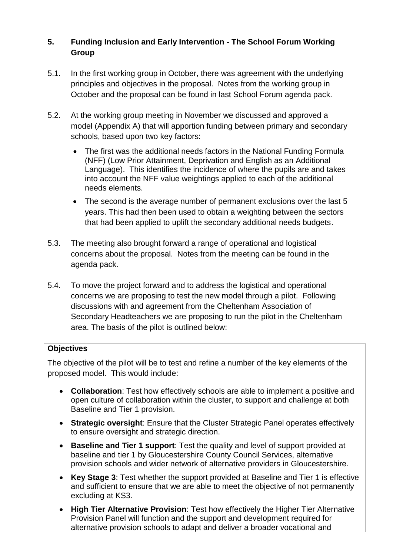# **5. Funding Inclusion and Early Intervention - The School Forum Working Group**

- 5.1. In the first working group in October, there was agreement with the underlying principles and objectives in the proposal. Notes from the working group in October and the proposal can be found in last School Forum agenda pack.
- 5.2. At the working group meeting in November we discussed and approved a model (Appendix A) that will apportion funding between primary and secondary schools, based upon two key factors:
	- The first was the additional needs factors in the National Funding Formula (NFF) (Low Prior Attainment, Deprivation and English as an Additional Language). This identifies the incidence of where the pupils are and takes into account the NFF value weightings applied to each of the additional needs elements.
	- The second is the average number of permanent exclusions over the last 5 years. This had then been used to obtain a weighting between the sectors that had been applied to uplift the secondary additional needs budgets.
- 5.3. The meeting also brought forward a range of operational and logistical concerns about the proposal. Notes from the meeting can be found in the agenda pack.
- 5.4. To move the project forward and to address the logistical and operational concerns we are proposing to test the new model through a pilot. Following discussions with and agreement from the Cheltenham Association of Secondary Headteachers we are proposing to run the pilot in the Cheltenham area. The basis of the pilot is outlined below:

# **Objectives**

The objective of the pilot will be to test and refine a number of the key elements of the proposed model. This would include:

- **Collaboration**: Test how effectively schools are able to implement a positive and open culture of collaboration within the cluster, to support and challenge at both Baseline and Tier 1 provision.
- **Strategic oversight**: Ensure that the Cluster Strategic Panel operates effectively to ensure oversight and strategic direction.
- **Baseline and Tier 1 support**: Test the quality and level of support provided at baseline and tier 1 by Gloucestershire County Council Services, alternative provision schools and wider network of alternative providers in Gloucestershire.
- **Key Stage 3**: Test whether the support provided at Baseline and Tier 1 is effective and sufficient to ensure that we are able to meet the objective of not permanently excluding at KS3.
- **High Tier Alternative Provision**: Test how effectively the Higher Tier Alternative Provision Panel will function and the support and development required for alternative provision schools to adapt and deliver a broader vocational and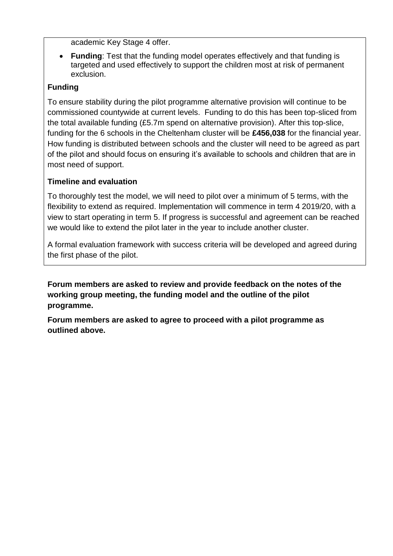academic Key Stage 4 offer.

 **Funding**: Test that the funding model operates effectively and that funding is targeted and used effectively to support the children most at risk of permanent exclusion.

# **Funding**

To ensure stability during the pilot programme alternative provision will continue to be commissioned countywide at current levels. Funding to do this has been top-sliced from the total available funding (£5.7m spend on alternative provision). After this top-slice, funding for the 6 schools in the Cheltenham cluster will be **£456,038** for the financial year. How funding is distributed between schools and the cluster will need to be agreed as part of the pilot and should focus on ensuring it's available to schools and children that are in most need of support.

# **Timeline and evaluation**

To thoroughly test the model, we will need to pilot over a minimum of 5 terms, with the flexibility to extend as required. Implementation will commence in term 4 2019/20, with a view to start operating in term 5. If progress is successful and agreement can be reached we would like to extend the pilot later in the year to include another cluster.

A formal evaluation framework with success criteria will be developed and agreed during the first phase of the pilot.

**Forum members are asked to review and provide feedback on the notes of the working group meeting, the funding model and the outline of the pilot programme.** 

**Forum members are asked to agree to proceed with a pilot programme as outlined above.**